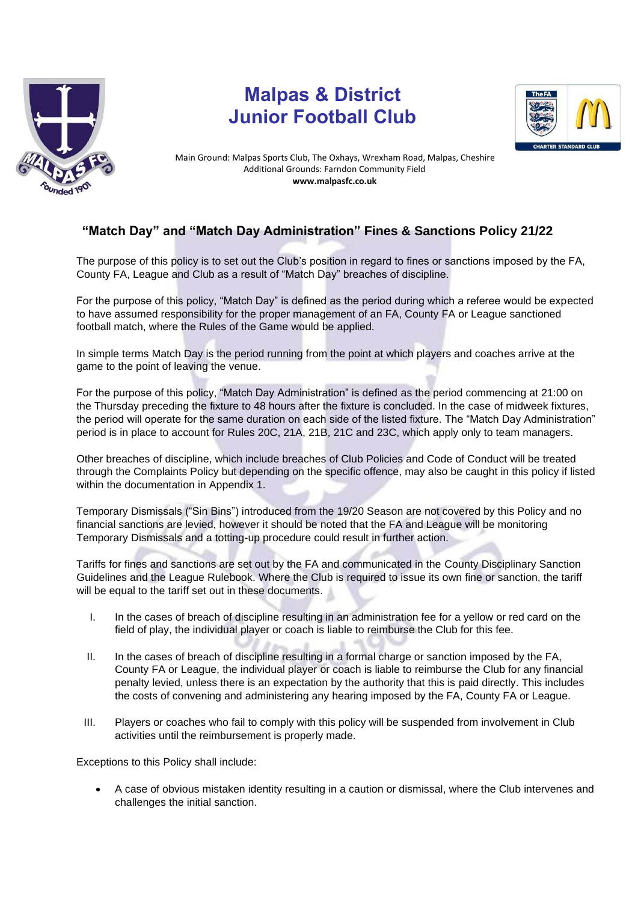

## **Malpas & District Junior Football Club**



Main Ground: Malpas Sports Club, The Oxhays, Wrexham Road, Malpas, Cheshire Additional Grounds: Farndon Community Field **www.malpasfc.co.uk** 

## **"Match Day" and "Match Day Administration" Fines & Sanctions Policy 21/22**

The purpose of this policy is to set out the Club's position in regard to fines or sanctions imposed by the FA, County FA, League and Club as a result of "Match Day" breaches of discipline.

For the purpose of this policy, "Match Day" is defined as the period during which a referee would be expected to have assumed responsibility for the proper management of an FA, County FA or League sanctioned football match, where the Rules of the Game would be applied.

In simple terms Match Day is the period running from the point at which players and coaches arrive at the game to the point of leaving the venue.

For the purpose of this policy, "Match Day Administration" is defined as the period commencing at 21:00 on the Thursday preceding the fixture to 48 hours after the fixture is concluded. In the case of midweek fixtures, the period will operate for the same duration on each side of the listed fixture. The "Match Day Administration" period is in place to account for Rules 20C, 21A, 21B, 21C and 23C, which apply only to team managers.

Other breaches of discipline, which include breaches of Club Policies and Code of Conduct will be treated through the Complaints Policy but depending on the specific offence, may also be caught in this policy if listed within the documentation in Appendix 1.

Temporary Dismissals ("Sin Bins") introduced from the 19/20 Season are not covered by this Policy and no financial sanctions are levied, however it should be noted that the FA and League will be monitoring Temporary Dismissals and a totting-up procedure could result in further action.

Tariffs for fines and sanctions are set out by the FA and communicated in the County Disciplinary Sanction Guidelines and the League Rulebook. Where the Club is required to issue its own fine or sanction, the tariff will be equal to the tariff set out in these documents.

- I. In the cases of breach of discipline resulting in an administration fee for a yellow or red card on the field of play, the individual player or coach is liable to reimburse the Club for this fee.
- II. In the cases of breach of discipline resulting in a formal charge or sanction imposed by the FA, County FA or League, the individual player or coach is liable to reimburse the Club for any financial penalty levied, unless there is an expectation by the authority that this is paid directly. This includes the costs of convening and administering any hearing imposed by the FA, County FA or League.
- III. Players or coaches who fail to comply with this policy will be suspended from involvement in Club activities until the reimbursement is properly made.

Exceptions to this Policy shall include:

• A case of obvious mistaken identity resulting in a caution or dismissal, where the Club intervenes and challenges the initial sanction.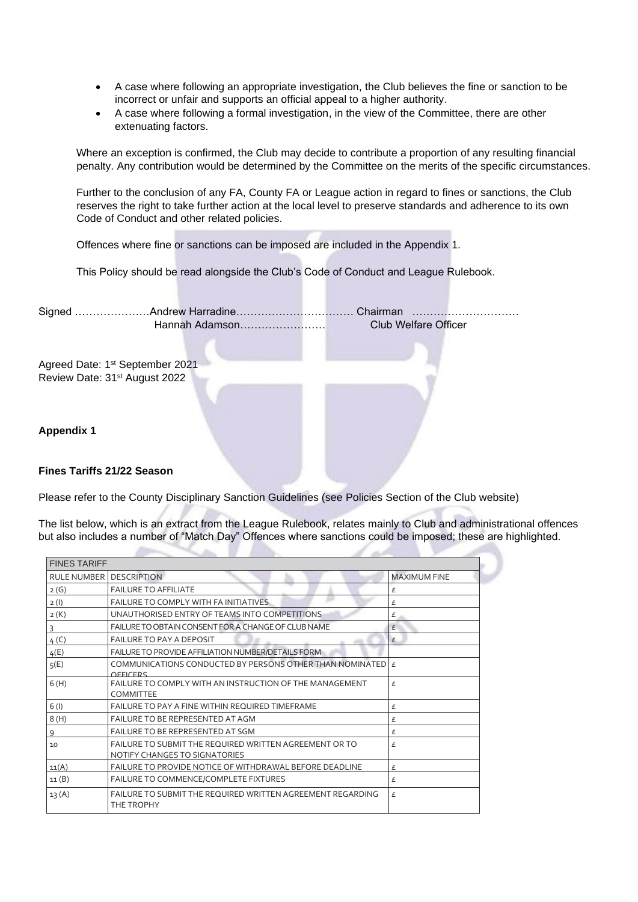- A case where following an appropriate investigation, the Club believes the fine or sanction to be incorrect or unfair and supports an official appeal to a higher authority.
- A case where following a formal investigation, in the view of the Committee, there are other extenuating factors.

Where an exception is confirmed, the Club may decide to contribute a proportion of any resulting financial penalty. Any contribution would be determined by the Committee on the merits of the specific circumstances.

Further to the conclusion of any FA, County FA or League action in regard to fines or sanctions, the Club reserves the right to take further action at the local level to preserve standards and adherence to its own Code of Conduct and other related policies.

Offences where fine or sanctions can be imposed are included in the Appendix 1.

This Policy should be read alongside the Club's Code of Conduct and League Rulebook.

|                                             | Hannah Adamson | <b>Club Welfare Officer</b> |
|---------------------------------------------|----------------|-----------------------------|
|                                             |                |                             |
| Agreed Date: 1 <sup>st</sup> September 2021 |                |                             |
| Review Date: 31 <sup>st</sup> August 2022   |                |                             |
|                                             |                |                             |
|                                             |                |                             |
| <b>Appendix 1</b>                           |                |                             |
|                                             |                |                             |
|                                             |                |                             |
| <b>Fines Tariffs 21/22 Season</b>           |                |                             |

Please refer to the County Disciplinary Sanction Guidelines (see Policies Section of the Club website)

The list below, which is an extract from the League Rulebook, relates mainly to Club and administrational offences but also includes a number of "Match Day" Offences where sanctions could be imposed; these are highlighted.

| <b>FINES TARIFF</b> |                                                                                                |                     |  |  |
|---------------------|------------------------------------------------------------------------------------------------|---------------------|--|--|
| <b>RULE NUMBER</b>  | <b>DESCRIPTION</b>                                                                             | <b>MAXIMUM FINE</b> |  |  |
| 2(G)                | <b>FAILURE TO AFFILIATE</b>                                                                    | £                   |  |  |
| 2(1)                | FAILURE TO COMPLY WITH FAINITIATIVES                                                           | £                   |  |  |
| 2(K)                | UNAUTHORISED ENTRY OF TEAMS INTO COMPETITIONS                                                  | £                   |  |  |
|                     | FAILURE TO OBTAIN CONSENT FOR A CHANGE OF CLUB NAME                                            | £                   |  |  |
| 4(C)                | <b>FAILURE TO PAY A DEPOSIT</b>                                                                | £                   |  |  |
| 4(E)                | FAILURE TO PROVIDE AFFILIATION NUMBER/DETAILS FORM                                             |                     |  |  |
| 5(E)                | COMMUNICATIONS CONDUCTED BY PERSONS OTHER THAN NOMINATED $\mathbf{F}$<br>OFFICERS              |                     |  |  |
| 6(H)                | FAILURE TO COMPLY WITH AN INSTRUCTION OF THE MANAGEMENT<br><b>COMMITTEE</b>                    | £                   |  |  |
| 6(1)                | <b>FAILURE TO PAY A FINE WITHIN REQUIRED TIMEFRAME</b>                                         | £                   |  |  |
| 8(H)                | FAILURE TO BE REPRESENTED AT AGM                                                               | £                   |  |  |
| 9                   | FAILURE TO BE REPRESENTED AT SGM                                                               | £                   |  |  |
| 10                  | <b>FAILURE TO SUBMIT THE REQUIRED WRITTEN AGREEMENT OR TO</b><br>NOTIFY CHANGES TO SIGNATORIES | £                   |  |  |
| 11(A)               | FAILURE TO PROVIDE NOTICE OF WITHDRAWAL BEFORE DEADLINE                                        | £                   |  |  |
| 11(B)               | FAILURE TO COMMENCE/COMPLETE FIXTURES                                                          | £                   |  |  |
| 13(A)               | FAILURE TO SUBMIT THE REQUIRED WRITTEN AGREEMENT REGARDING<br>THE TROPHY                       | £                   |  |  |